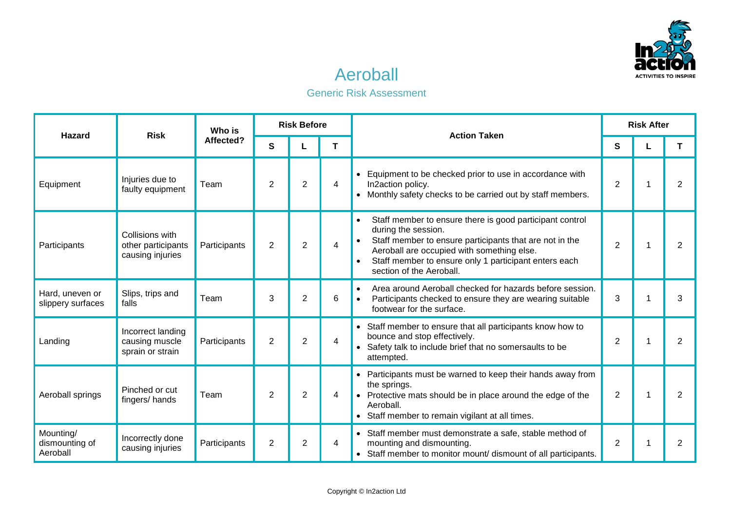

## Aeroball

## Generic Risk Assessment

| Hazard                                  | <b>Risk</b>                                               | Who is<br>Affected? | <b>Risk Before</b> |                |                |                                                                                                                                                                                                                                                                                                         | <b>Risk After</b> |  |                |
|-----------------------------------------|-----------------------------------------------------------|---------------------|--------------------|----------------|----------------|---------------------------------------------------------------------------------------------------------------------------------------------------------------------------------------------------------------------------------------------------------------------------------------------------------|-------------------|--|----------------|
|                                         |                                                           |                     | $\mathbf{s}$       |                | T              | <b>Action Taken</b>                                                                                                                                                                                                                                                                                     | S                 |  | T              |
| Equipment                               | Injuries due to<br>faulty equipment                       | Team                | 2                  | $\overline{2}$ | $\overline{4}$ | Equipment to be checked prior to use in accordance with<br>In2action policy.<br>• Monthly safety checks to be carried out by staff members.                                                                                                                                                             | $\overline{2}$    |  | $\overline{2}$ |
| Participants                            | Collisions with<br>other participants<br>causing injuries | Participants        | $\overline{2}$     | $\overline{2}$ | 4              | Staff member to ensure there is good participant control<br>$\bullet$<br>during the session.<br>Staff member to ensure participants that are not in the<br>Aeroball are occupied with something else.<br>Staff member to ensure only 1 participant enters each<br>$\bullet$<br>section of the Aeroball. | $\overline{2}$    |  | $\overline{2}$ |
| Hard, uneven or<br>slippery surfaces    | Slips, trips and<br>falls                                 | Team                | 3                  | $\overline{2}$ | 6              | Area around Aeroball checked for hazards before session.<br>$\bullet$<br>Participants checked to ensure they are wearing suitable<br>footwear for the surface.                                                                                                                                          | 3                 |  | 3              |
| Landing                                 | Incorrect landing<br>causing muscle<br>sprain or strain   | Participants        | $\overline{2}$     | $\overline{2}$ | 4              | • Staff member to ensure that all participants know how to<br>bounce and stop effectively.<br>• Safety talk to include brief that no somersaults to be<br>attempted.                                                                                                                                    | $\overline{2}$    |  | 2              |
| Aeroball springs                        | Pinched or cut<br>fingers/hands                           | Team                | $\overline{2}$     | $\overline{2}$ | 4              | Participants must be warned to keep their hands away from<br>$\bullet$<br>the springs.<br>• Protective mats should be in place around the edge of the<br>Aeroball.<br>Staff member to remain vigilant at all times.                                                                                     | $\overline{2}$    |  | 2              |
| Mounting/<br>dismounting of<br>Aeroball | Incorrectly done<br>causing injuries                      | Participants        | 2                  | $\overline{2}$ | 4              | • Staff member must demonstrate a safe, stable method of<br>mounting and dismounting.<br>• Staff member to monitor mount/ dismount of all participants.                                                                                                                                                 | $\overline{2}$    |  | 2              |